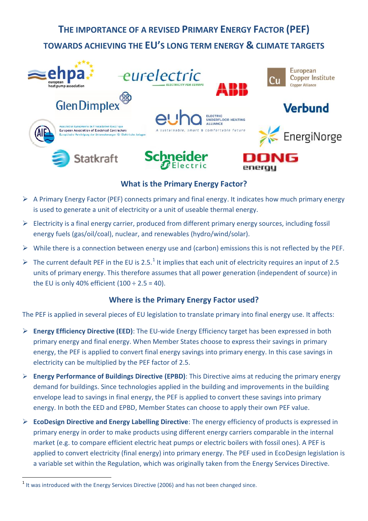# **THE IMPORTANCE OF A REVISED PRIMARY ENERGY FACTOR (PEF) TOWARDS ACHIEVING THE EU'S LONG TERM ENERGY & CLIMATE TARGETS**



## **What is the Primary Energy Factor?**

- $\triangleright$  A Primary Energy Factor (PEF) connects primary and final energy. It indicates how much primary energy is used to generate a unit of electricity or a unit of useable thermal energy.
- $\triangleright$  Electricity is a final energy carrier, produced from different primary energy sources, including fossil energy fuels (gas/oil/coal), nuclear, and renewables (hydro/wind/solar).
- $\triangleright$  While there is a connection between energy use and (carbon) emissions this is not reflected by the PEF.
- $\triangleright$  The current default PEF in the EU is 2.5.<sup>1</sup> It implies that each unit of electricity requires an input of 2.5 units of primary energy. This therefore assumes that all power generation (independent of source) in the EU is only 40% efficient  $(100 \div 2.5 = 40)$ .

### **Where is the Primary Energy Factor used?**

The PEF is applied in several pieces of EU legislation to translate primary into final energy use. It affects:

- **Energy Efficiency Directive (EED)**: The EU-wide Energy Efficiency target has been expressed in both primary energy and final energy. When Member States choose to express their savings in primary energy, the PEF is applied to convert final energy savings into primary energy. In this case savings in electricity can be multiplied by the PEF factor of 2.5.
- **Energy Performance of Buildings Directive (EPBD)**: This Directive aims at reducing the primary energy demand for buildings. Since technologies applied in the building and improvements in the building envelope lead to savings in final energy, the PEF is applied to convert these savings into primary energy. In both the EED and EPBD, Member States can choose to apply their own PEF value.
- **EcoDesign Directive and Energy Labelling Directive**: The energy efficiency of products is expressed in primary energy in order to make products using different energy carriers comparable in the internal market (e.g. to compare efficient electric heat pumps or electric boilers with fossil ones). A PEF is applied to convert electricity (final energy) into primary energy. The PEF used in EcoDesign legislation is a variable set within the Regulation, which was originally taken from the Energy Services Directive.

 $<sup>1</sup>$  It was introduced with the Energy Services Directive (2006) and has not been changed since.</sup>